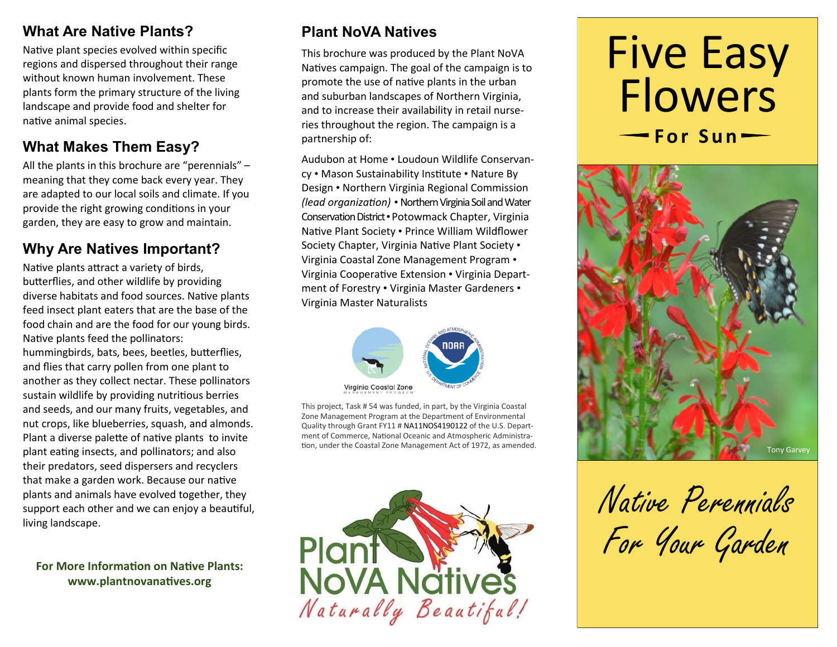## **What Are Native Plants?**

Native plant species evolved within specific regions and dispersed throughout their range without known human involvement. These plants form the primary structure of the living landscape and provide food and shelter for native animal species.

# **What Makes Them Easy?**

All the plants in this brochure are "perennials" – meaning that they come back every year. They are adapted to our local soils and climate. If you provide the right growing conditions in your garden, they are easy to grow and maintain.

## **Why Are Natives Important?**

Native plants attract a variety of birds, butterflies, and other wildlife by providing diverse habitats and food sources. Native plants feed insect plant eaters that are the base of the food chain and are the food for our young birds. Native plants feed the pollinators: hummingbirds, bats, bees, beetles, butterflies, and flies that carry pollen from one plant to another as they collect nectar. These pollinators sustain wildlife by providing nutritious berries and seeds, and our many fruits, vegetables, and nut crops, like blueberries, squash, and almonds. Plant a diverse palette of native plants to invite plant eating insects, and pollinators; and also their predators, seed dispersers and recyclers that make a garden work. Because our native plants and animals have evolved together, they support each other and we can enjoy a beautiful, living landscape.

## **For More Information on Native Plants: www.plantnovanatives.org**

## **Plant NoVA Natives**

This brochure was produced by the Plant NoVA Natives campaign. The goal of the campaign is to promote the use of native plants in the urban and suburban landscapes of Northern Virginia, and to increase their availability in retail nurseries throughout the region. The campaign is a partnership of:

Audubon at Home • Loudoun Wildlife Conservancy • Mason Sustainability Institute • Nature By Design • Northern Virginia Regional Commission *(lead organization) •* Northern Virginia Soil and Water Conservation District •Potowmack Chapter, Virginia Native Plant Society • Prince William Wildflower Society Chapter, Virginia Native Plant Society • Virginia Coastal Zone Management Program • Virginia Cooperative Extension • Virginia Department of Forestry • Virginia Master Gardeners • Virginia Master Naturalists



This project, Task # 54 was funded, in part, by the Virginia Coastal Zone Management Program at the Department of Environmental Quality through Grant FY11 # NA11NOS4190122 of the U.S. Department of Commerce, National Oceanic and Atmospheric Administra-



# Five Easy **Flowers For Sun —**



Native Perennials For Your Garden